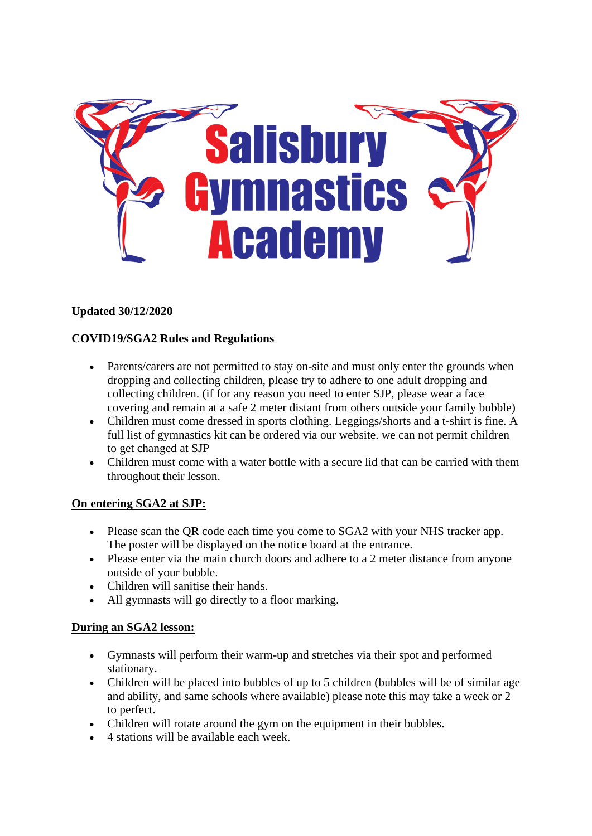

# **Updated 30/12/2020**

# **COVID19/SGA2 Rules and Regulations**

- Parents/carers are not permitted to stay on-site and must only enter the grounds when dropping and collecting children, please try to adhere to one adult dropping and collecting children. (if for any reason you need to enter SJP, please wear a face covering and remain at a safe 2 meter distant from others outside your family bubble)
- Children must come dressed in sports clothing. Leggings/shorts and a t-shirt is fine. A full list of gymnastics kit can be ordered via our website. we can not permit children to get changed at SJP
- Children must come with a water bottle with a secure lid that can be carried with them throughout their lesson.

## **On entering SGA2 at SJP:**

- Please scan the OR code each time you come to SGA2 with your NHS tracker app. The poster will be displayed on the notice board at the entrance.
- Please enter via the main church doors and adhere to a 2 meter distance from anyone outside of your bubble.
- Children will sanitise their hands.
- All gymnasts will go directly to a floor marking.

## **During an SGA2 lesson:**

- Gymnasts will perform their warm-up and stretches via their spot and performed stationary.
- Children will be placed into bubbles of up to 5 children (bubbles will be of similar age and ability, and same schools where available) please note this may take a week or 2 to perfect.
- Children will rotate around the gym on the equipment in their bubbles.
- 4 stations will be available each week.